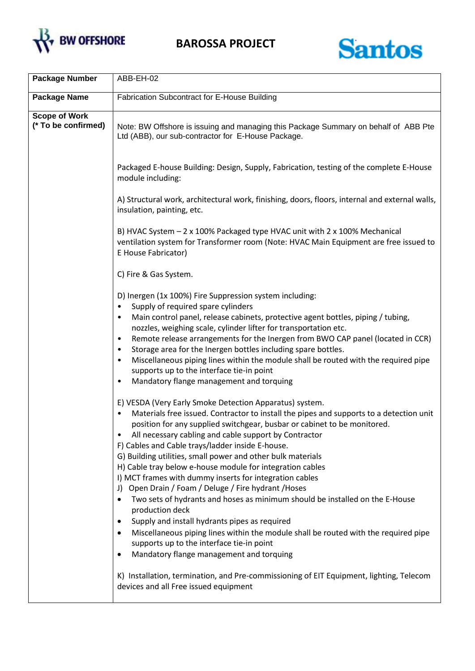



| <b>Package Number</b>                       | ABB-EH-02                                                                                                                                                                                                                                                                                                                                                                                                                                                                                                                                                                                                                                                                                                                                                                                                                                                                                                                                             |
|---------------------------------------------|-------------------------------------------------------------------------------------------------------------------------------------------------------------------------------------------------------------------------------------------------------------------------------------------------------------------------------------------------------------------------------------------------------------------------------------------------------------------------------------------------------------------------------------------------------------------------------------------------------------------------------------------------------------------------------------------------------------------------------------------------------------------------------------------------------------------------------------------------------------------------------------------------------------------------------------------------------|
| <b>Package Name</b>                         | <b>Fabrication Subcontract for E-House Building</b>                                                                                                                                                                                                                                                                                                                                                                                                                                                                                                                                                                                                                                                                                                                                                                                                                                                                                                   |
| <b>Scope of Work</b><br>(* To be confirmed) | Note: BW Offshore is issuing and managing this Package Summary on behalf of ABB Pte<br>Ltd (ABB), our sub-contractor for E-House Package.                                                                                                                                                                                                                                                                                                                                                                                                                                                                                                                                                                                                                                                                                                                                                                                                             |
|                                             | Packaged E-house Building: Design, Supply, Fabrication, testing of the complete E-House<br>module including:                                                                                                                                                                                                                                                                                                                                                                                                                                                                                                                                                                                                                                                                                                                                                                                                                                          |
|                                             | A) Structural work, architectural work, finishing, doors, floors, internal and external walls,<br>insulation, painting, etc.                                                                                                                                                                                                                                                                                                                                                                                                                                                                                                                                                                                                                                                                                                                                                                                                                          |
|                                             | B) HVAC System - 2 x 100% Packaged type HVAC unit with 2 x 100% Mechanical<br>ventilation system for Transformer room (Note: HVAC Main Equipment are free issued to<br>E House Fabricator)                                                                                                                                                                                                                                                                                                                                                                                                                                                                                                                                                                                                                                                                                                                                                            |
|                                             | C) Fire & Gas System.                                                                                                                                                                                                                                                                                                                                                                                                                                                                                                                                                                                                                                                                                                                                                                                                                                                                                                                                 |
|                                             | D) Inergen (1x 100%) Fire Suppression system including:<br>Supply of required spare cylinders<br>$\bullet$<br>Main control panel, release cabinets, protective agent bottles, piping / tubing,<br>٠<br>nozzles, weighing scale, cylinder lifter for transportation etc.<br>Remote release arrangements for the Inergen from BWO CAP panel (located in CCR)<br>$\bullet$<br>Storage area for the Inergen bottles including spare bottles.<br>$\bullet$<br>Miscellaneous piping lines within the module shall be routed with the required pipe<br>$\bullet$<br>supports up to the interface tie-in point<br>Mandatory flange management and torquing<br>$\bullet$                                                                                                                                                                                                                                                                                       |
|                                             | E) VESDA (Very Early Smoke Detection Apparatus) system.<br>Materials free issued. Contractor to install the pipes and supports to a detection unit<br>position for any supplied switchgear, busbar or cabinet to be monitored.<br>All necessary cabling and cable support by Contractor<br>F) Cables and Cable trays/ladder inside E-house.<br>G) Building utilities, small power and other bulk materials<br>H) Cable tray below e-house module for integration cables<br>I) MCT frames with dummy inserts for integration cables<br>Open Drain / Foam / Deluge / Fire hydrant / Hoses<br>J)<br>Two sets of hydrants and hoses as minimum should be installed on the E-House<br>٠<br>production deck<br>Supply and install hydrants pipes as required<br>٠<br>Miscellaneous piping lines within the module shall be routed with the required pipe<br>٠<br>supports up to the interface tie-in point<br>Mandatory flange management and torquing<br>٠ |
|                                             | K) Installation, termination, and Pre-commissioning of EIT Equipment, lighting, Telecom<br>devices and all Free issued equipment                                                                                                                                                                                                                                                                                                                                                                                                                                                                                                                                                                                                                                                                                                                                                                                                                      |